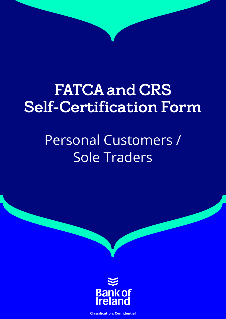# FATCA and CRS Self-Certification Form

## Personal Customers / Sole Traders



**Classification: Confidential**